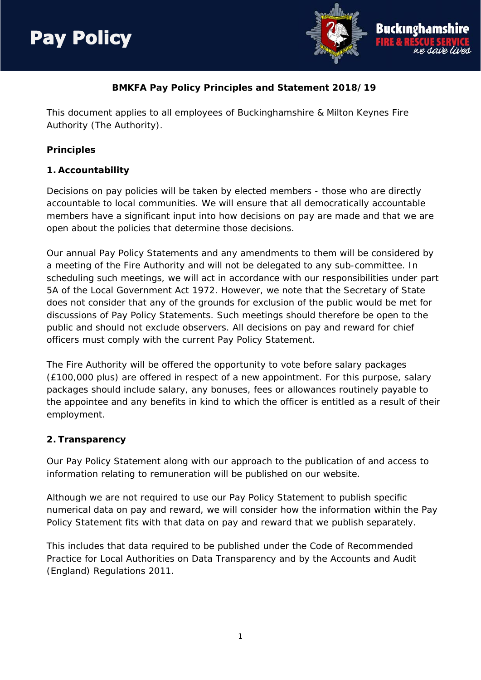## **Pav Policy**



## **BMKFA Pay Policy Principles and Statement 2018/19**

This document applies to all employees of Buckinghamshire & Milton Keynes Fire Authority (The Authority).

#### **Principles**

#### **1. Accountability**

Decisions on pay policies will be taken by elected members - those who are directly accountable to local communities. We will ensure that all democratically accountable members have a significant input into how decisions on pay are made and that we are open about the policies that determine those decisions.

Our annual Pay Policy Statements and any amendments to them will be considered by a meeting of the Fire Authority and will not be delegated to any sub-committee. In scheduling such meetings, we will act in accordance with our responsibilities under part 5A of the Local Government Act 1972. However, we note that the Secretary of State does not consider that any of the grounds for exclusion of the public would be met for discussions of Pay Policy Statements. Such meetings should therefore be open to the public and should not exclude observers. All decisions on pay and reward for chief officers must comply with the current Pay Policy Statement.

The Fire Authority will be offered the opportunity to vote before salary packages (£100,000 plus) are offered in respect of a new appointment. For this purpose, salary packages should include salary, any bonuses, fees or allowances routinely payable to the appointee and any benefits in kind to which the officer is entitled as a result of their employment.

#### **2. Transparency**

Our Pay Policy Statement along with our approach to the publication of and access to information relating to remuneration will be published on our website.

Although we are not required to use our Pay Policy Statement to publish specific numerical data on pay and reward, we will consider how the information within the Pay Policy Statement fits with that data on pay and reward that we publish separately.

This includes that data required to be published under the Code of Recommended Practice for Local Authorities on Data Transparency and by the Accounts and Audit (England) Regulations 2011.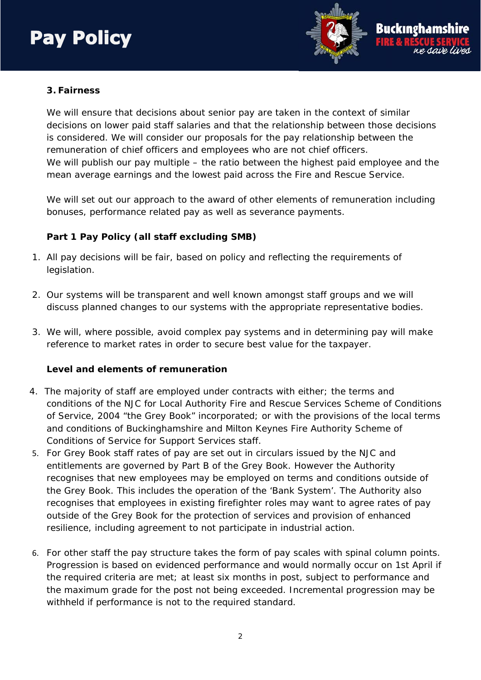

#### **3. Fairness**

We will ensure that decisions about senior pay are taken in the context of similar decisions on lower paid staff salaries and that the relationship between those decisions is considered. We will consider our proposals for the pay relationship between the remuneration of chief officers and employees who are not chief officers. We will publish our pay multiple – the ratio between the highest paid employee and the mean average earnings and the lowest paid across the Fire and Rescue Service.

We will set out our approach to the award of other elements of remuneration including bonuses, performance related pay as well as severance payments.

#### **Part 1 Pay Policy (all staff excluding SMB)**

- 1. All pay decisions will be fair, based on policy and reflecting the requirements of legislation.
- 2. Our systems will be transparent and well known amongst staff groups and we will discuss planned changes to our systems with the appropriate representative bodies.
- 3. We will, where possible, avoid complex pay systems and in determining pay will make reference to market rates in order to secure best value for the taxpayer.

#### **Level and elements of remuneration**

- 4. The majority of staff are employed under contracts with either; the terms and conditions of the NJC for Local Authority Fire and Rescue Services Scheme of Conditions of Service, 2004 "the Grey Book" incorporated; or with the provisions of the local terms and conditions of Buckinghamshire and Milton Keynes Fire Authority Scheme of Conditions of Service for Support Services staff.
- 5. For Grey Book staff rates of pay are set out in circulars issued by the NJC and entitlements are governed by Part B of the Grey Book. However the Authority recognises that new employees may be employed on terms and conditions outside of the Grey Book. This includes the operation of the 'Bank System'. The Authority also recognises that employees in existing firefighter roles may want to agree rates of pay outside of the Grey Book for the protection of services and provision of enhanced resilience, including agreement to not participate in industrial action.
- 6. For other staff the pay structure takes the form of pay scales with spinal column points. Progression is based on evidenced performance and would normally occur on 1st April if the required criteria are met; at least six months in post, subject to performance and the maximum grade for the post not being exceeded. Incremental progression may be withheld if performance is not to the required standard.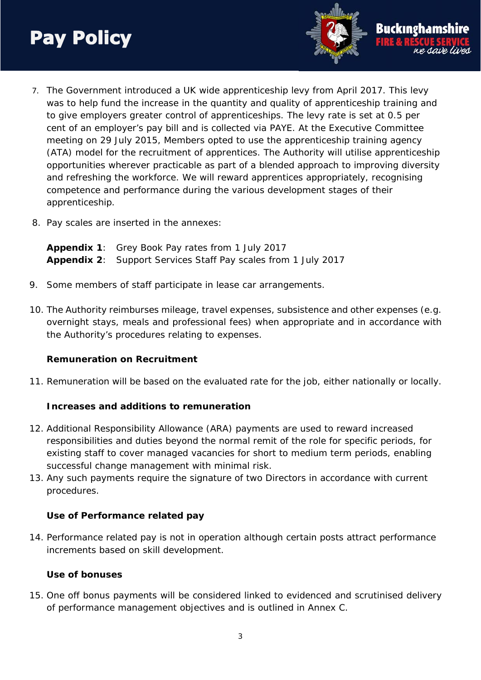7. The Government introduced a UK wide apprenticeship levy from April 2017. This levy was to help fund the increase in the quantity and quality of apprenticeship training and to give employers greater control of apprenticeships. The levy rate is set at 0.5 per cent of an employer's pay bill and is collected via PAYE. At the Executive Committee meeting on 29 July 2015, Members opted to use the apprenticeship training agency (ATA) model for the recruitment of apprentices. The Authority will utilise apprenticeship opportunities wherever practicable as part of a blended approach to improving diversity and refreshing the workforce. We will reward apprentices appropriately, recognising competence and performance during the various development stages of their apprenticeship.

Buckingha

8. Pay scales are inserted in the annexes:

**Appendix 1**: Grey Book Pay rates from 1 July 2017 **Appendix 2**: Support Services Staff Pay scales from 1 July 2017

- 9. Some members of staff participate in lease car arrangements.
- 10. The Authority reimburses mileage, travel expenses, subsistence and other expenses (e.g. overnight stays, meals and professional fees) when appropriate and in accordance with the Authority's procedures relating to expenses.

#### **Remuneration on Recruitment**

11. Remuneration will be based on the evaluated rate for the job, either nationally or locally.

#### **Increases and additions to remuneration**

- 12. Additional Responsibility Allowance (ARA) payments are used to reward increased responsibilities and duties beyond the normal remit of the role for specific periods, for existing staff to cover managed vacancies for short to medium term periods, enabling successful change management with minimal risk.
- 13. Any such payments require the signature of two Directors in accordance with current procedures.

#### **Use of Performance related pay**

14. Performance related pay is not in operation although certain posts attract performance increments based on skill development.

#### **Use of bonuses**

15. One off bonus payments will be considered linked to evidenced and scrutinised delivery of performance management objectives and is outlined in Annex C.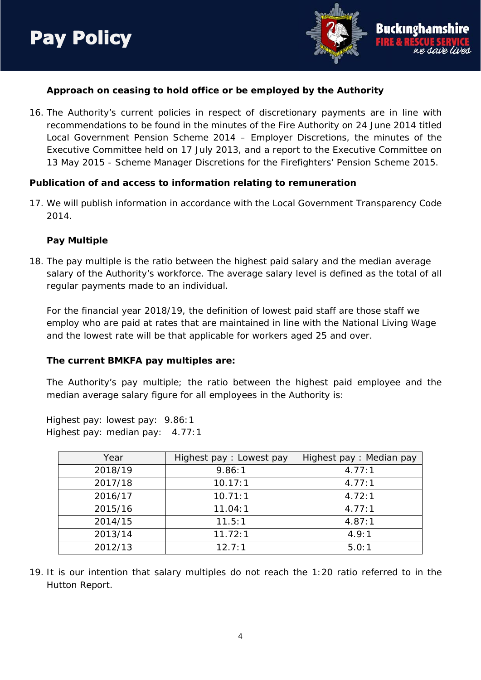

#### **Approach on ceasing to hold office or be employed by the Authority**

16. The Authority's current policies in respect of discretionary payments are in line with recommendations to be found in the minutes of the Fire Authority on 24 June 2014 titled Local Government Pension Scheme 2014 – Employer Discretions, the minutes of the Executive Committee held on 17 July 2013, and a report to the Executive Committee on 13 May 2015 - Scheme Manager Discretions for the Firefighters' Pension Scheme 2015.

#### **Publication of and access to information relating to remuneration**

17. We will publish information in accordance with the Local Government Transparency Code 2014.

#### **Pay Multiple**

18. The pay multiple is the ratio between the highest paid salary and the median average salary of the Authority's workforce. The average salary level is defined as the total of all regular payments made to an individual.

For the financial year 2018/19, the definition of lowest paid staff are those staff we employ who are paid at rates that are maintained in line with the National Living Wage and the lowest rate will be that applicable for workers aged 25 and over.

#### **The current BMKFA pay multiples are:**

The Authority's pay multiple; the ratio between the highest paid employee and the median average salary figure for all employees in the Authority is:

Highest pay: lowest pay: 9.86:1 Highest pay: median pay: 4.77:1

| Year    | Highest pay : Lowest pay | Highest pay: Median pay |
|---------|--------------------------|-------------------------|
| 2018/19 | 9.86:1                   | 4.77:1                  |
| 2017/18 | 10.17:1                  | 4.77:1                  |
| 2016/17 | 10.71:1                  | 4.72:1                  |
| 2015/16 | 11.04:1                  | 4.77:1                  |
| 2014/15 | 11.5:1                   | 4.87:1                  |
| 2013/14 | 11.72:1                  | 4.9:1                   |
| 2012/13 | $12.7 \cdot 1$           | 5.0:1                   |

19. It is our intention that salary multiples do not reach the 1:20 ratio referred to in the Hutton Report.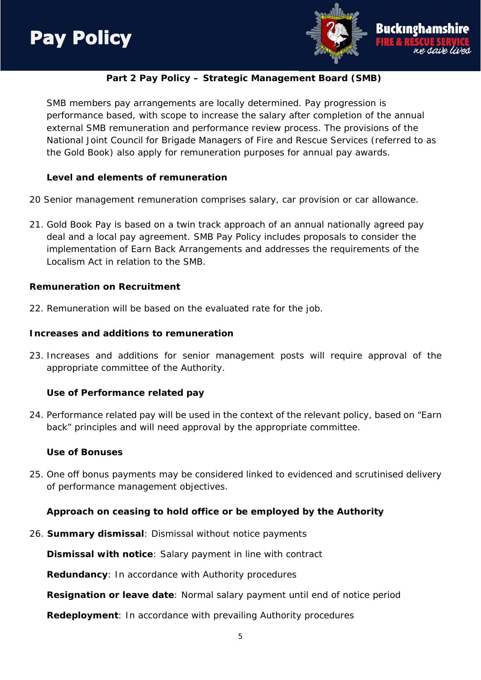

#### **Part 2 Pay Policy – Strategic Management Board (SMB)**

SMB members pay arrangements are locally determined. Pay progression is performance based, with scope to increase the salary after completion of the annual external SMB remuneration and performance review process. The provisions of the National Joint Council for Brigade Managers of Fire and Rescue Services (referred to as the Gold Book) also apply for remuneration purposes for annual pay awards.

#### **Level and elements of remuneration**

- 20 Senior management remuneration comprises salary, car provision or car allowance.
- 21. Gold Book Pay is based on a twin track approach of an annual nationally agreed pay deal and a local pay agreement. SMB Pay Policy includes proposals to consider the implementation of Earn Back Arrangements and addresses the requirements of the Localism Act in relation to the SMB.

#### **Remuneration on Recruitment**

22. Remuneration will be based on the evaluated rate for the job.

#### **Increases and additions to remuneration**

23. Increases and additions for senior management posts will require approval of the appropriate committee of the Authority.

#### **Use of Performance related pay**

24. Performance related pay will be used in the context of the relevant policy, based on "Earn back" principles and will need approval by the appropriate committee.

#### **Use of Bonuses**

25. One off bonus payments may be considered linked to evidenced and scrutinised delivery of performance management objectives.

#### **Approach on ceasing to hold office or be employed by the Authority**

26. **Summary dismissal**: Dismissal without notice payments

**Dismissal with notice**: Salary payment in line with contract

**Redundancy**: In accordance with Authority procedures

**Resignation or leave date**: Normal salary payment until end of notice period

**Redeployment**: In accordance with prevailing Authority procedures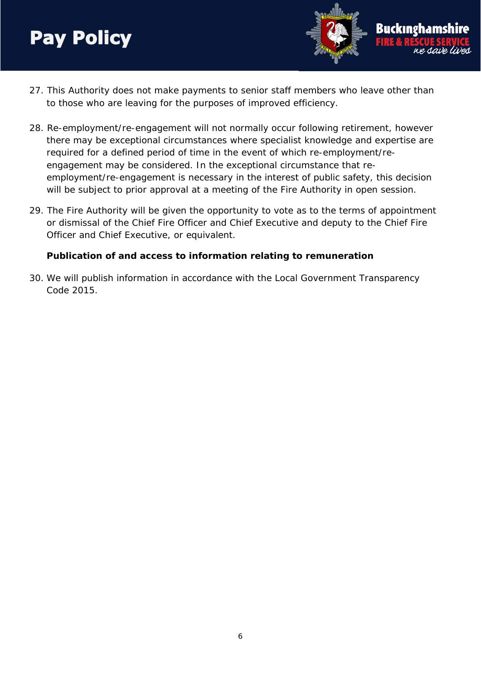

- 27. This Authority does not make payments to senior staff members who leave other than to those who are leaving for the purposes of improved efficiency.
- 28. Re-employment/re-engagement will not normally occur following retirement, however there may be exceptional circumstances where specialist knowledge and expertise are required for a defined period of time in the event of which re-employment/reengagement may be considered. In the exceptional circumstance that reemployment/re-engagement is necessary in the interest of public safety, this decision will be subject to prior approval at a meeting of the Fire Authority in open session.
- 29. The Fire Authority will be given the opportunity to vote as to the terms of appointment or dismissal of the Chief Fire Officer and Chief Executive and deputy to the Chief Fire Officer and Chief Executive, or equivalent.

#### **Publication of and access to information relating to remuneration**

30. We will publish information in accordance with the Local Government Transparency Code 2015.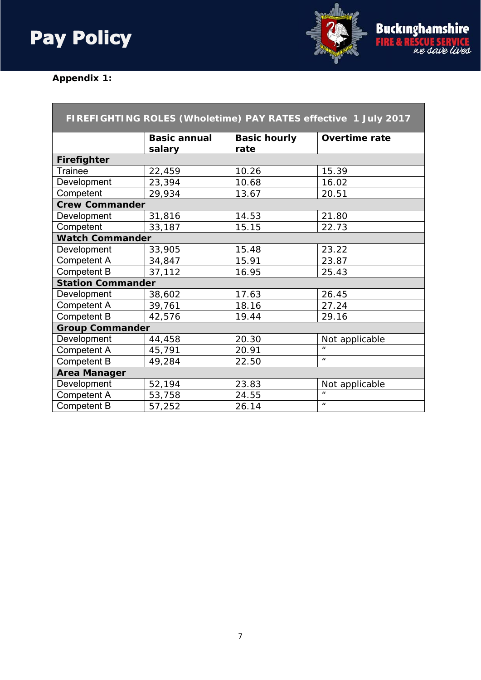

## **Appendix 1:**

| FIREFIGHTING ROLES (Wholetime) PAY RATES effective 1 July 2017 |                     |                     |                      |  |
|----------------------------------------------------------------|---------------------|---------------------|----------------------|--|
|                                                                | <b>Basic annual</b> | <b>Basic hourly</b> | <b>Overtime rate</b> |  |
|                                                                | salary              | rate                |                      |  |
| <b>Firefighter</b>                                             |                     |                     |                      |  |
| <b>Trainee</b>                                                 | 22,459              | 10.26               | 15.39                |  |
| Development                                                    | 23,394              | 10.68               | 16.02                |  |
| Competent                                                      | 29,934              | 13.67               | 20.51                |  |
| <b>Crew Commander</b>                                          |                     |                     |                      |  |
| Development                                                    | 31,816              | 14.53               | 21.80                |  |
| Competent                                                      | 33,187              | 15.15               | 22.73                |  |
| <b>Watch Commander</b>                                         |                     |                     |                      |  |
| Development                                                    | 33,905              | 15.48               | 23.22                |  |
| Competent A                                                    | 34,847              | 15.91               | 23.87                |  |
| Competent B                                                    | 37,112              | 16.95               | 25.43                |  |
| <b>Station Commander</b>                                       |                     |                     |                      |  |
| Development                                                    | 38,602              | 17.63               | 26.45                |  |
| Competent A                                                    | 39,761              | 18.16               | 27.24                |  |
| Competent B                                                    | 42,576              | 19.44               | 29.16                |  |
| <b>Group Commander</b>                                         |                     |                     |                      |  |
| Development                                                    | 44,458              | 20.30               | Not applicable       |  |
| Competent A                                                    | 45,791              | 20.91               | $\mathbf{u}$         |  |
| <b>Competent B</b>                                             | 49,284              | 22.50               | $\mathbf{u}$         |  |
| <b>Area Manager</b>                                            |                     |                     |                      |  |
| Development                                                    | 52,194              | 23.83               | Not applicable       |  |
| Competent A                                                    | 53,758              | 24.55               | $\mathbf{u}$         |  |
| <b>Competent B</b>                                             | 57,252              | 26.14               | $\boldsymbol{u}$     |  |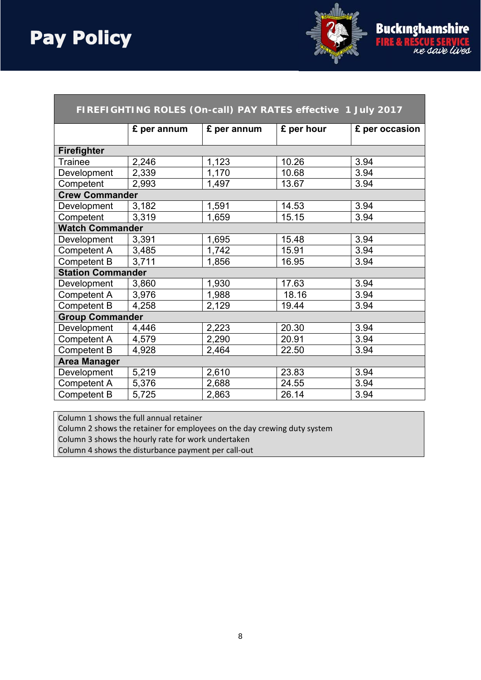

| FIREFIGHTING ROLES (On-call) PAY RATES effective 1 July 2017 |             |             |            |                |
|--------------------------------------------------------------|-------------|-------------|------------|----------------|
|                                                              | £ per annum | £ per annum | £ per hour | £ per occasion |
|                                                              |             |             |            |                |
| <b>Firefighter</b>                                           |             |             |            |                |
| <b>Trainee</b>                                               | 2,246       | 1,123       | 10.26      | 3.94           |
| Development                                                  | 2,339       | 1,170       | 10.68      | 3.94           |
| Competent                                                    | 2,993       | 1,497       | 13.67      | 3.94           |
| <b>Crew Commander</b>                                        |             |             |            |                |
| Development                                                  | 3,182       | 1,591       | 14.53      | 3.94           |
| Competent                                                    | 3,319       | 1,659       | 15.15      | 3.94           |
| <b>Watch Commander</b>                                       |             |             |            |                |
| Development                                                  | 3,391       | 1,695       | 15.48      | 3.94           |
| <b>Competent A</b>                                           | 3,485       | 1,742       | 15.91      | 3.94           |
| Competent B                                                  | 3,711       | 1,856       | 16.95      | 3.94           |
| <b>Station Commander</b>                                     |             |             |            |                |
| Development                                                  | 3,860       | 1,930       | 17.63      | 3.94           |
| Competent A                                                  | 3,976       | 1,988       | 18.16      | 3.94           |
| <b>Competent B</b>                                           | 4,258       | 2,129       | 19.44      | 3.94           |
| <b>Group Commander</b>                                       |             |             |            |                |
| Development                                                  | 4,446       | 2,223       | 20.30      | 3.94           |
| Competent A                                                  | 4,579       | 2,290       | 20.91      | 3.94           |
| Competent B                                                  | 4,928       | 2,464       | 22.50      | 3.94           |
| <b>Area Manager</b>                                          |             |             |            |                |
| Development                                                  | 5,219       | 2,610       | 23.83      | 3.94           |
| Competent A                                                  | 5,376       | 2,688       | 24.55      | 3.94           |
| <b>Competent B</b>                                           | 5,725       | 2,863       | 26.14      | 3.94           |

Column 1 shows the full annual retainer

Column 2 shows the retainer for employees on the day crewing duty system

Column 3 shows the hourly rate for work undertaken

Column 4 shows the disturbance payment per call‐out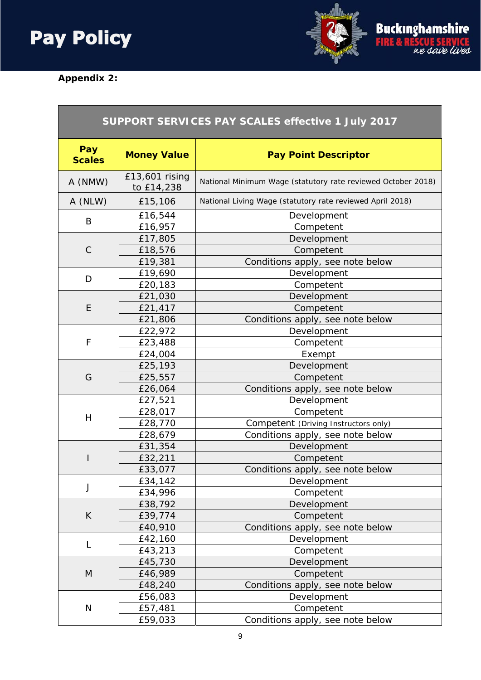# 



## **Appendix 2:**

 $\overline{\phantom{a}}$ 

| SUPPORT SERVICES PAY SCALES effective 1 July 2017 |                              |                                                              |
|---------------------------------------------------|------------------------------|--------------------------------------------------------------|
| Pay<br><b>Scales</b>                              | <b>Money Value</b>           | <b>Pay Point Descriptor</b>                                  |
| A (NMW)                                           | £13,601 rising<br>to £14,238 | National Minimum Wage (statutory rate reviewed October 2018) |
| A (NLW)                                           | £15,106                      | National Living Wage (statutory rate reviewed April 2018)    |
|                                                   | £16,544                      | Development                                                  |
| B                                                 | £16,957                      | Competent                                                    |
|                                                   | £17,805                      | Development                                                  |
| $\mathsf C$                                       | £18,576                      | Competent                                                    |
|                                                   | £19,381                      | Conditions apply, see note below                             |
| D                                                 | £19,690                      | Development                                                  |
|                                                   | £20,183                      | Competent                                                    |
|                                                   | £21,030                      | Development                                                  |
| E                                                 | £21,417                      | Competent                                                    |
|                                                   | £21,806                      | Conditions apply, see note below                             |
|                                                   | £22,972                      | Development                                                  |
| F                                                 | £23,488                      | Competent                                                    |
|                                                   | £24,004                      | Exempt                                                       |
|                                                   | £25,193                      | Development                                                  |
| G                                                 | £25,557                      | Competent                                                    |
|                                                   | £26,064                      | Conditions apply, see note below                             |
|                                                   | £27,521                      | Development                                                  |
| H                                                 | £28,017                      | Competent                                                    |
|                                                   | £28,770                      | Competent (Driving Instructors only)                         |
|                                                   | £28,679                      | Conditions apply, see note below                             |
|                                                   | £31,354                      | Development                                                  |
|                                                   | £32,211                      | Competent                                                    |
|                                                   | £33,077                      | Conditions apply, see note below                             |
| J                                                 | £34,142                      | Development                                                  |
|                                                   | £34,996                      | Competent                                                    |
|                                                   | £38,792                      | Development                                                  |
| K                                                 | £39,774                      | Competent                                                    |
|                                                   | £40,910                      | Conditions apply, see note below                             |
| L                                                 | £42,160                      | Development                                                  |
|                                                   | £43,213                      | Competent                                                    |
| M                                                 | £45,730                      | Development                                                  |
|                                                   | £46,989                      | Competent                                                    |
|                                                   | £48,240                      | Conditions apply, see note below                             |
| ${\sf N}$                                         | £56,083                      | Development                                                  |
|                                                   | £57,481                      | Competent                                                    |
|                                                   | £59,033                      | Conditions apply, see note below                             |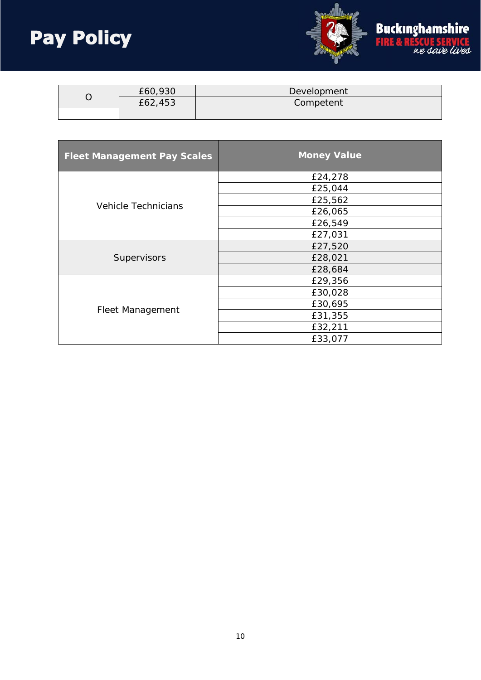

| £60,930<br>£62,453 |           | Development |
|--------------------|-----------|-------------|
|                    | Competent |             |
|                    |           |             |

| <b>Fleet Management Pay Scales</b> | <b>Money Value</b> |
|------------------------------------|--------------------|
| Vehicle Technicians                | £24,278            |
|                                    | £25,044            |
|                                    | £25,562            |
|                                    | £26,065            |
|                                    | £26,549            |
|                                    | £27,031            |
| Supervisors                        | £27,520            |
|                                    | £28,021            |
|                                    | £28,684            |
| Fleet Management                   | £29,356            |
|                                    | £30,028            |
|                                    | £30,695            |
|                                    | £31,355            |
|                                    | £32,211            |
|                                    | £33,077            |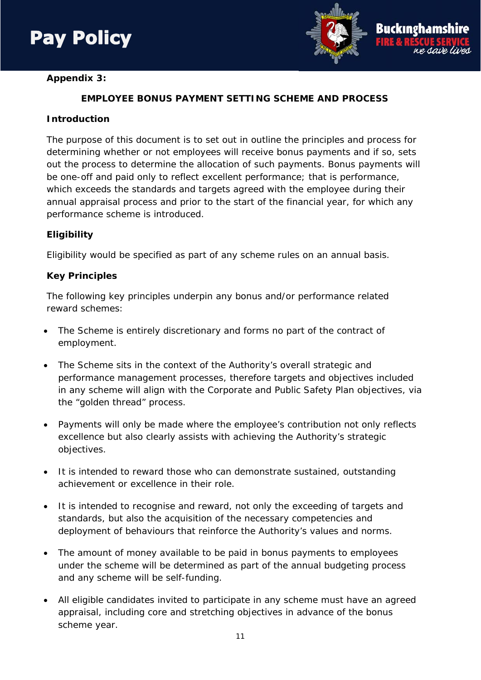

# Buckingha

### **EMPLOYEE BONUS PAYMENT SETTING SCHEME AND PROCESS**

#### **Introduction**

The purpose of this document is to set out in outline the principles and process for determining whether or not employees will receive bonus payments and if so, sets out the process to determine the allocation of such payments. Bonus payments will be one-off and paid only to reflect excellent performance; that is performance, which exceeds the standards and targets agreed with the employee during their annual appraisal process and prior to the start of the financial year, for which any performance scheme is introduced.

#### **Eligibility**

Eligibility would be specified as part of any scheme rules on an annual basis.

#### **Key Principles**

The following key principles underpin any bonus and/or performance related reward schemes:

- The Scheme is entirely discretionary and forms no part of the contract of employment.
- The Scheme sits in the context of the Authority's overall strategic and performance management processes, therefore targets and objectives included in any scheme will align with the Corporate and Public Safety Plan objectives, via the "golden thread" process.
- Payments will only be made where the employee's contribution not only reflects excellence but also clearly assists with achieving the Authority's strategic objectives.
- It is intended to reward those who can demonstrate sustained, outstanding achievement or excellence in their role.
- It is intended to recognise and reward, not only the exceeding of targets and standards, but also the acquisition of the necessary competencies and deployment of behaviours that reinforce the Authority's values and norms.
- The amount of money available to be paid in bonus payments to employees under the scheme will be determined as part of the annual budgeting process and any scheme will be self-funding.
- All eligible candidates invited to participate in any scheme must have an agreed appraisal, including core and stretching objectives in advance of the bonus scheme year.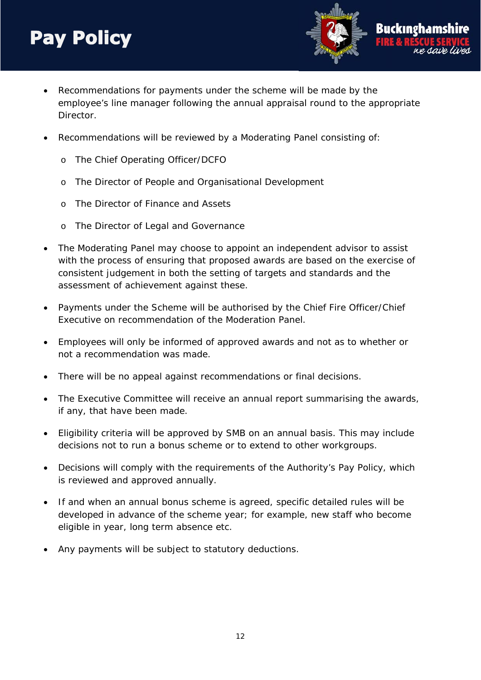Recommendations for payments under the scheme will be made by the employee's line manager following the annual appraisal round to the appropriate Director.

Buckınehaı

- Recommendations will be reviewed by a Moderating Panel consisting of:
	- o The Chief Operating Officer/DCFO
	- o The Director of People and Organisational Development
	- o The Director of Finance and Assets
	- o The Director of Legal and Governance
- The Moderating Panel may choose to appoint an independent advisor to assist with the process of ensuring that proposed awards are based on the exercise of consistent judgement in both the setting of targets and standards and the assessment of achievement against these.
- Payments under the Scheme will be authorised by the Chief Fire Officer/Chief Executive on recommendation of the Moderation Panel.
- Employees will only be informed of approved awards and not as to whether or not a recommendation was made.
- There will be no appeal against recommendations or final decisions.
- The Executive Committee will receive an annual report summarising the awards, if any, that have been made.
- Eligibility criteria will be approved by SMB on an annual basis. This may include decisions not to run a bonus scheme or to extend to other workgroups.
- Decisions will comply with the requirements of the Authority's Pay Policy, which is reviewed and approved annually.
- If and when an annual bonus scheme is agreed, specific detailed rules will be developed in advance of the scheme year; for example, new staff who become eligible in year, long term absence etc.
- Any payments will be subject to statutory deductions.